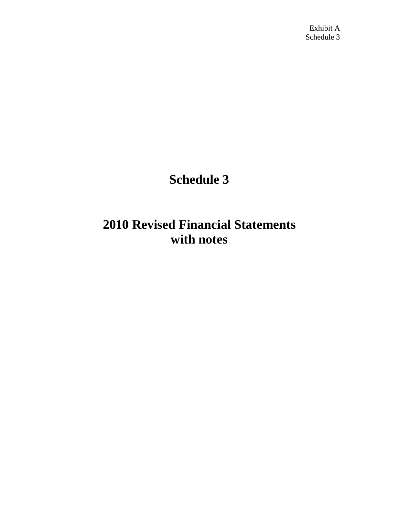# **Schedule 3**

# **2010 Revised Financial Statements with notes**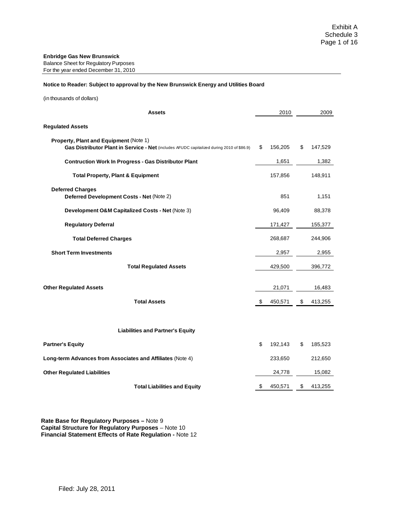#### **Notice to Reader: Subject to approval by the New Brunswick Energy and Utilities Board**

(in thousands of dollars)

| <b>Assets</b>                                                                                                                       |    | 2010    |    | 2009    |
|-------------------------------------------------------------------------------------------------------------------------------------|----|---------|----|---------|
| <b>Regulated Assets</b>                                                                                                             |    |         |    |         |
| Property, Plant and Equipment (Note 1)<br>Gas Distributor Plant in Service - Net (includes AFUDC capitalized during 2010 of \$86.9) | \$ | 156,205 | \$ | 147,529 |
| <b>Contruction Work In Progress - Gas Distributor Plant</b>                                                                         |    | 1,651   |    | 1,382   |
| <b>Total Property, Plant &amp; Equipment</b>                                                                                        |    | 157,856 |    | 148,911 |
| <b>Deferred Charges</b><br>Deferred Development Costs - Net (Note 2)                                                                |    | 851     |    | 1,151   |
| Development O&M Capitalized Costs - Net (Note 3)                                                                                    |    | 96,409  |    | 88,378  |
| <b>Regulatory Deferral</b>                                                                                                          |    | 171,427 |    | 155,377 |
| <b>Total Deferred Charges</b>                                                                                                       |    | 268,687 |    | 244,906 |
| <b>Short Term Investments</b>                                                                                                       |    | 2,957   |    | 2,955   |
| <b>Total Regulated Assets</b>                                                                                                       |    | 429,500 |    | 396,772 |
| <b>Other Regulated Assets</b>                                                                                                       |    | 21,071  |    | 16,483  |
| <b>Total Assets</b>                                                                                                                 | \$ | 450,571 | \$ | 413,255 |
| <b>Liabilities and Partner's Equity</b>                                                                                             |    |         |    |         |
| <b>Partner's Equity</b>                                                                                                             | \$ | 192,143 | S  | 185,523 |
| Long-term Advances from Associates and Affiliates (Note 4)                                                                          |    | 233,650 |    | 212,650 |
| <b>Other Regulated Liabilities</b>                                                                                                  |    | 24,778  |    | 15,082  |
| <b>Total Liabilities and Equity</b>                                                                                                 | S. | 450,571 | \$ | 413,255 |

**Rate Base for Regulatory Purposes –** Note 9 **Capital Structure for Regulatory Purposes** – Note 10 **Financial Statement Effects of Rate Regulation -** Note 12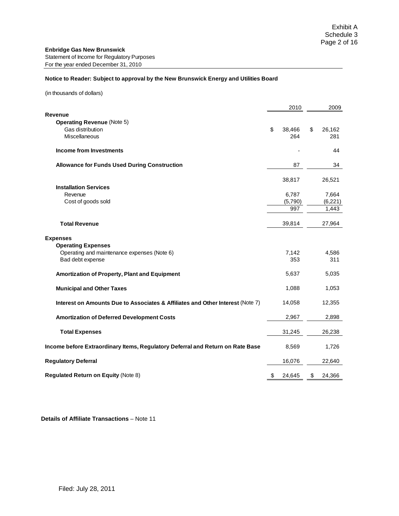#### **Notice to Reader: Subject to approval by the New Brunswick Energy and Utilities Board**

(in thousands of dollars)

|                                                                                | 2010         | 2009         |
|--------------------------------------------------------------------------------|--------------|--------------|
| Revenue                                                                        |              |              |
| <b>Operating Revenue (Note 5)</b>                                              |              |              |
| Gas distribution                                                               | \$<br>38,466 | \$<br>26,162 |
| Miscellaneous                                                                  | 264          | 281          |
| <b>Income from Investments</b>                                                 |              | 44           |
| <b>Allowance for Funds Used During Construction</b>                            | 87           | 34           |
|                                                                                | 38,817       | 26,521       |
| <b>Installation Services</b>                                                   |              |              |
| Revenue                                                                        | 6,787        | 7,664        |
| Cost of goods sold                                                             | (5,790)      | (6,221)      |
|                                                                                | 997          | 1,443        |
| <b>Total Revenue</b>                                                           | 39,814       | 27,964       |
| <b>Expenses</b>                                                                |              |              |
| <b>Operating Expenses</b>                                                      |              |              |
| Operating and maintenance expenses (Note 6)                                    | 7,142        | 4,586        |
| Bad debt expense                                                               | 353          | 311          |
| Amortization of Property, Plant and Equipment                                  | 5,637        | 5,035        |
| <b>Municipal and Other Taxes</b>                                               | 1,088        | 1,053        |
| Interest on Amounts Due to Associates & Affiliates and Other Interest (Note 7) | 14,058       | 12,355       |
| <b>Amortization of Deferred Development Costs</b>                              | 2,967        | 2,898        |
| <b>Total Expenses</b>                                                          | 31,245       | 26,238       |
| Income before Extraordinary Items, Regulatory Deferral and Return on Rate Base | 8,569        | 1,726        |
| <b>Regulatory Deferral</b>                                                     | 16,076       | 22,640       |
| <b>Regulated Return on Equity (Note 8)</b>                                     | \$<br>24,645 | \$<br>24,366 |

**Details of Affiliate Transactions** – Note 11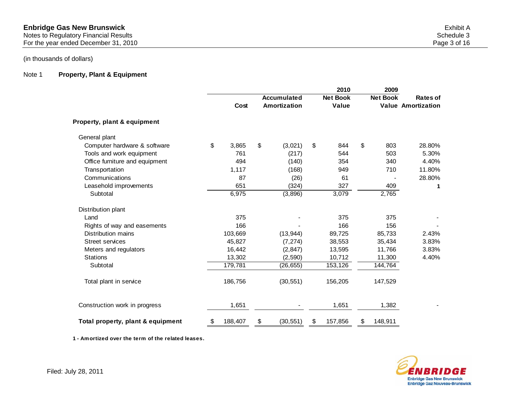Notes to Regulatory Financial Results Schedule 3 and Schedule 3 and Schedule 3 and Schedule 3 and Schedule 3 and Schedule 3 and Schedule 3 and Schedule 3 and Schedule 3 and Schedule 3 and Schedule 3 and Schedule 3 and Sche For the year ended December 31, 2010 **Page 3 of 16** 

(in thousands of dollars)

## Note 1 **Property, Plant & Equipment**

|                                   |               |                    | 2010            | 2009            |                           |
|-----------------------------------|---------------|--------------------|-----------------|-----------------|---------------------------|
|                                   |               | <b>Accumulated</b> | <b>Net Book</b> | <b>Net Book</b> | <b>Rates of</b>           |
|                                   | Cost          | Amortization       | Value           |                 | <b>Value Amortization</b> |
| Property, plant & equipment       |               |                    |                 |                 |                           |
| General plant                     |               |                    |                 |                 |                           |
| Computer hardware & software      | \$<br>3,865   | \$<br>(3,021)      | \$<br>844       | \$<br>803       | 28.80%                    |
| Tools and work equipment          | 761           | (217)              | 544             | 503             | 5.30%                     |
| Office furniture and equipment    | 494           | (140)              | 354             | 340             | 4.40%                     |
| Transportation                    | 1,117         | (168)              | 949             | 710             | 11.80%                    |
| Communications                    | 87            | (26)               | 61              |                 | 28.80%                    |
| Leasehold improvements            | 651           | (324)              | 327             | 409             | 1                         |
| Subtotal                          | 6,975         | (3,896)            | 3,079           | 2,765           |                           |
| Distribution plant                |               |                    |                 |                 |                           |
| Land                              | 375           |                    | 375             | 375             |                           |
| Rights of way and easements       | 166           |                    | 166             | 156             |                           |
| Distribution mains                | 103,669       | (13, 944)          | 89,725          | 85,733          | 2.43%                     |
| <b>Street services</b>            | 45,827        | (7, 274)           | 38,553          | 35,434          | 3.83%                     |
| Meters and regulators             | 16,442        | (2, 847)           | 13,595          | 11,766          | 3.83%                     |
| <b>Stations</b>                   | 13,302        | (2, 590)           | 10,712          | 11,300          | 4.40%                     |
| Subtotal                          | 179,781       | (26, 655)          | 153,126         | 144,764         |                           |
| Total plant in service            | 186,756       | (30, 551)          | 156,205         | 147,529         |                           |
| Construction work in progress     | 1,651         |                    | 1,651           | 1,382           |                           |
| Total property, plant & equipment | \$<br>188,407 | \$<br>(30, 551)    | \$<br>157,856   | \$<br>148,911   |                           |

**1 - Amortized over the term of the related leases.**

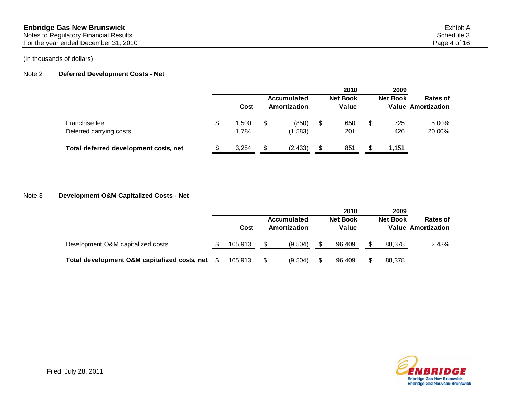Notes to Regulatory Financial Results Schedule 3 and Schedule 3 and Schedule 3 and Schedule 3 and Schedule 3 and Schedule 3 and Schedule 3 and Schedule 3 and Schedule 3 and Schedule 3 and Schedule 3 and Schedule 3 and Sche

For the year ended December 31, 2010 **Page 4 of 16** 

## (in thousands of dollars)

## Note 2 **Deferred Development Costs - Net**

|                                          | Cost                 | Accumulated<br>Amortization | 2010<br><b>Net Book</b><br>Value |   | 2009<br><b>Net Book</b> | Rates of<br><b>Value Amortization</b> |
|------------------------------------------|----------------------|-----------------------------|----------------------------------|---|-------------------------|---------------------------------------|
| Franchise fee<br>Deferred carrying costs | \$<br>1.500<br>1.784 | (850)<br>(1,583)            | \$<br>650<br>201                 | S | 725<br>426              | 5.00%<br>20.00%                       |
| Total deferred development costs, net    | 3,284                | (2, 433)                    | \$<br>851                        |   | 1,151                   |                                       |

## Note 3 **Development O&M Capitalized Costs - Net**

|                                              |         |                             |         | 2010                     |  | 2009            |                                       |  |
|----------------------------------------------|---------|-----------------------------|---------|--------------------------|--|-----------------|---------------------------------------|--|
|                                              | Cost    | Accumulated<br>Amortization |         | <b>Net Book</b><br>Value |  | <b>Net Book</b> | Rates of<br><b>Value Amortization</b> |  |
| Development O&M capitalized costs            | 105.913 |                             | (9.504) | 96.409                   |  | 88,378          | 2.43%                                 |  |
| Total development O&M capitalized costs, net | 105.913 |                             | (9.504) | 96.409                   |  | 88.378          |                                       |  |

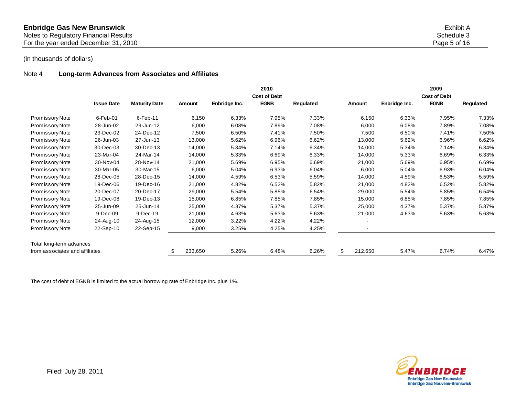| <b>Enbridge Gas New Brunswick</b>     | Exhibit A    |
|---------------------------------------|--------------|
| Notes to Regulatory Financial Results | Schedule 3   |
| For the year ended December 31, 2010  | Page 5 of 16 |

## Note 4 **Long-term Advances from Associates and Affiliates**

|                                |                   |                      |               |               | 2010<br><b>Cost of Debt</b> |           |         |               | 2009<br><b>Cost of Debt</b> |           |
|--------------------------------|-------------------|----------------------|---------------|---------------|-----------------------------|-----------|---------|---------------|-----------------------------|-----------|
|                                | <b>Issue Date</b> | <b>Maturity Date</b> | <b>Amount</b> | Enbridge Inc. | <b>EGNB</b>                 | Regulated | Amount  | Enbridge Inc. | <b>EGNB</b>                 | Regulated |
| Promissory Note                | $6$ -Feb-01       | $6$ -Feb-11          | 6,150         | 6.33%         | 7.95%                       | 7.33%     | 6,150   | 6.33%         | 7.95%                       | 7.33%     |
| Promissory Note                | 28-Jun-02         | 29-Jun-12            | 6,000         | 6.08%         | 7.89%                       | 7.08%     | 6,000   | 6.08%         | 7.89%                       | 7.08%     |
| Promissory Note                | 23-Dec-02         | 24-Dec-12            | 7,500         | 6.50%         | 7.41%                       | 7.50%     | 7,500   | 6.50%         | 7.41%                       | 7.50%     |
| Promissory Note                | 26-Jun-03         | 27-Jun-13            | 13,000        | 5.62%         | 6.96%                       | 6.62%     | 13,000  | 5.62%         | 6.96%                       | 6.62%     |
| Promissory Note                | 30-Dec-03         | 30-Dec-13            | 14,000        | 5.34%         | 7.14%                       | 6.34%     | 14,000  | 5.34%         | 7.14%                       | 6.34%     |
| Promissory Note                | 23-Mar-04         | 24-Mar-14            | 14,000        | 5.33%         | 6.69%                       | 6.33%     | 14,000  | 5.33%         | 6.69%                       | 6.33%     |
| Promissory Note                | 30-Nov-04         | 28-Nov-14            | 21,000        | 5.69%         | 6.95%                       | 6.69%     | 21,000  | 5.69%         | 6.95%                       | 6.69%     |
| Promissory Note                | 30-Mar-05         | 30-Mar-15            | 6,000         | 5.04%         | 6.93%                       | 6.04%     | 6,000   | 5.04%         | 6.93%                       | 6.04%     |
| Promissory Note                | 28-Dec-05         | 28-Dec-15            | 14,000        | 4.59%         | 6.53%                       | 5.59%     | 14,000  | 4.59%         | 6.53%                       | 5.59%     |
| Promissory Note                | 19-Dec-06         | 19-Dec-16            | 21,000        | 4.82%         | 6.52%                       | 5.82%     | 21,000  | 4.82%         | 6.52%                       | 5.82%     |
| Promissory Note                | 20-Dec-07         | 20-Dec-17            | 29,000        | 5.54%         | 5.85%                       | 6.54%     | 29,000  | 5.54%         | 5.85%                       | 6.54%     |
| Promissory Note                | 19-Dec-08         | 19-Dec-13            | 15,000        | 6.85%         | 7.85%                       | 7.85%     | 15,000  | 6.85%         | 7.85%                       | 7.85%     |
| <b>Promissory Note</b>         | 25-Jun-09         | 25-Jun-14            | 25,000        | 4.37%         | 5.37%                       | 5.37%     | 25,000  | 4.37%         | 5.37%                       | 5.37%     |
| Promissory Note                | 9-Dec-09          | 9-Dec-19             | 21,000        | 4.63%         | 5.63%                       | 5.63%     | 21,000  | 4.63%         | 5.63%                       | 5.63%     |
| Promissory Note                | 24-Aug-10         | 24-Aug-15            | 12,000        | 3.22%         | 4.22%                       | 4.22%     |         |               |                             |           |
| Promissory Note                | 22-Sep-10         | 22-Sep-15            | 9,000         | 3.25%         | 4.25%                       | 4.25%     |         |               |                             |           |
| Total long-term advances       |                   |                      |               |               |                             |           |         |               |                             |           |
| from associates and affiliates |                   |                      | 233,650       | 5.26%         | 6.48%                       | 6.26%     | 212,650 | 5.47%         | 6.74%                       | 6.47%     |

The cost of debt of EGNB is limited to the actual borrowing rate of Enbridge Inc. plus 1%.

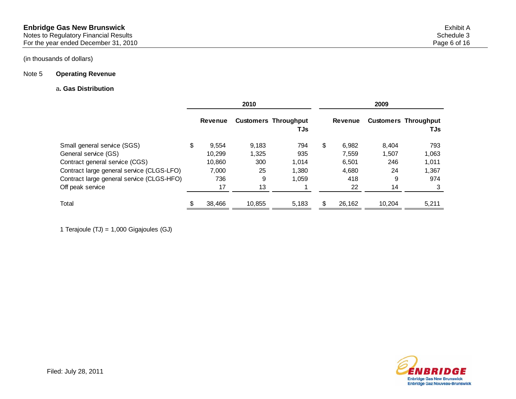# Note 5 **Operating Revenue**

## a**. Gas Distribution**

|                                           |   |                | 2010   |                                    | 2009        |        |                                    |  |  |
|-------------------------------------------|---|----------------|--------|------------------------------------|-------------|--------|------------------------------------|--|--|
|                                           |   | <b>Revenue</b> |        | <b>Customers Throughput</b><br>TJs | Revenue     |        | <b>Customers Throughput</b><br>TJs |  |  |
| Small general service (SGS)               | S | 9,554          | 9,183  | 794                                | \$<br>6,982 | 8.404  | 793                                |  |  |
| General service (GS)                      |   | 10.299         | 1,325  | 935                                | 7.559       | 1.507  | 1,063                              |  |  |
| Contract general service (CGS)            |   | 10,860         | 300    | 1.014                              | 6.501       | 246    | 1,011                              |  |  |
| Contract large general service (CLGS-LFO) |   | 7.000          | 25     | 1.380                              | 4,680       | 24     | 1,367                              |  |  |
| Contract large general service (CLGS-HFO) |   | 736            | 9      | 1.059                              | 418         | 9      | 974                                |  |  |
| Off peak service                          |   | 17             | 13     |                                    | 22          | 14     |                                    |  |  |
| Total                                     |   | 38.466         | 10.855 | 5,183                              | 26,162      | 10.204 | 5,211                              |  |  |

1 Terajoule (TJ) = 1,000 Gigajoules (GJ)

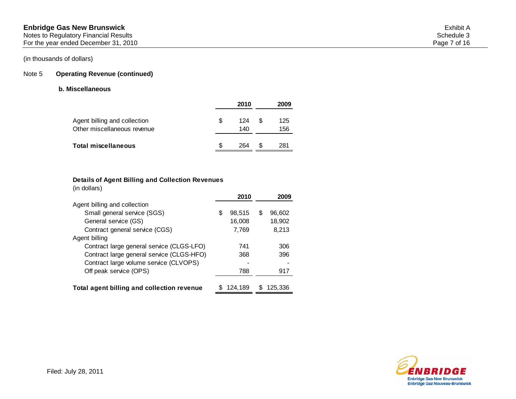## Note 5 **Operating Revenue (continued)**

### **b. Miscellaneous**

|                                                             |   | 2010       |   | 2009       |
|-------------------------------------------------------------|---|------------|---|------------|
| Agent billing and collection<br>Other miscellaneous revenue | S | 124<br>140 | S | 125<br>156 |
| Total miscellaneous                                         |   | 264        |   | 281        |

#### **Details of Agent Billing and Collection Revenues**

(in dollars)

|                                            | 2010         |   | 2009    |
|--------------------------------------------|--------------|---|---------|
| Agent billing and collection               |              |   |         |
| Small general service (SGS)                | \$<br>98,515 | S | 96,602  |
| General service (GS)                       | 16,008       |   | 18,902  |
| Contract general service (CGS)             | 7,769        |   | 8,213   |
| Agent billing                              |              |   |         |
| Contract large general service (CLGS-LFO)  | 741          |   | 306     |
| Contract large general service (CLGS-HFO)  | 368          |   | 396     |
| Contract large volume service (CLVOPS)     |              |   |         |
| Off peak service (OPS)                     | 788          |   | 917     |
|                                            |              |   |         |
| Total agent billing and collection revenue | 124.189      |   | 125.336 |

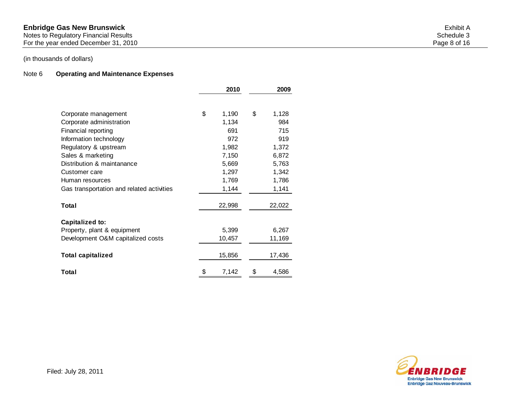Notes to Regulatory Financial Results Schedule 3 and Schedule 3 and Schedule 3 and Schedule 3 and Schedule 3 and Schedule 3 and Schedule 3 and Schedule 3 and Schedule 3 and Schedule 3 and Schedule 3 and Schedule 3 and Sche

For the year ended December 31, 2010 **Page 8 of 16** 

# (in thousands of dollars)

## Note 6 **Operating and Maintenance Expenses**

|                                           | 2010        | 2009        |
|-------------------------------------------|-------------|-------------|
|                                           |             |             |
| Corporate management                      | \$<br>1,190 | \$<br>1,128 |
| Corporate administration                  | 1,134       | 984         |
| Financial reporting                       | 691         | 715         |
| Information technology                    | 972         | 919         |
| Regulatory & upstream                     | 1,982       | 1,372       |
| Sales & marketing                         | 7,150       | 6,872       |
| Distribution & maintanance                | 5,669       | 5,763       |
| Customer care                             | 1,297       | 1,342       |
| Human resources                           | 1,769       | 1,786       |
| Gas transportation and related activities | 1,144       | 1,141       |
| Total                                     | 22,998      | 22,022      |
| Capitalized to:                           |             |             |
| Property, plant & equipment               | 5,399       | 6,267       |
| Development O&M capitalized costs         | 10,457      | 11,169      |
| <b>Total capitalized</b>                  | 15,856      | 17,436      |
| Total                                     | \$<br>7,142 | \$<br>4,586 |

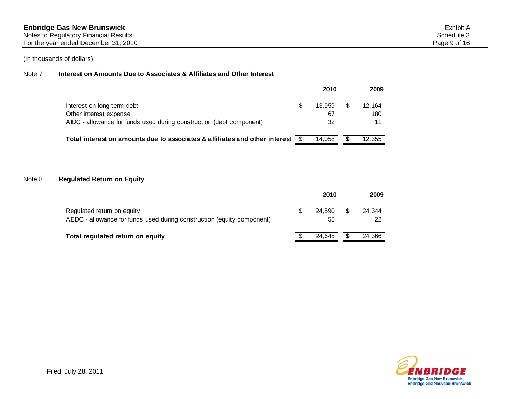#### Note 7 **Interest on Amounts Due to Associates & Affiliates and Other Interest**

|                                                                                |   | 2010   | 2009   |
|--------------------------------------------------------------------------------|---|--------|--------|
| Interest on long-term debt                                                     | S | 13.959 | 12.164 |
| Other interest expense                                                         |   | 67     | 180    |
| AIDC - allowance for funds used during construction (debt component)           |   | 32     | 11     |
| Total interest on amounts due to associates & affiliates and other interest \$ |   | 14.058 | 12.355 |

### Note 8 **Regulated Return on Equity**

|                                                                                                      | 2010         |   | 2009         |
|------------------------------------------------------------------------------------------------------|--------------|---|--------------|
| Regulated return on equity<br>AEDC - allowance for funds used during construction (equity component) | 24.590<br>55 | S | 24.344<br>22 |
| Total regulated return on equity                                                                     | 24.645       | S | 24.366       |

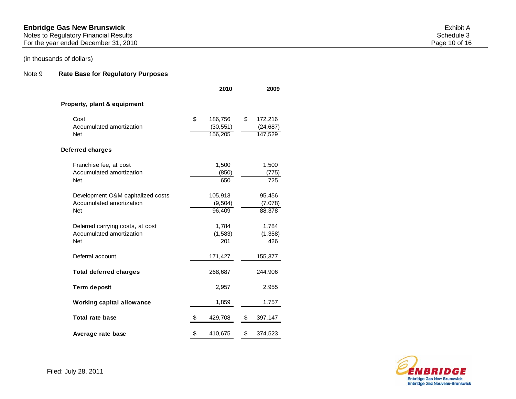#### Notes to Regulatory Financial Results Schedule 3 and Schedule 3 and Schedule 3 and Schedule 3 and Schedule 3 and Schedule 3 and Schedule 3 and Schedule 3 and Schedule 3 and Schedule 3 and Schedule 3 and Schedule 3 and Sche

For the year ended December 31, 2010 **Page 10** of 16

# (in thousands of dollars)

## Note 9 **Rate Base for Regulatory Purposes**

|                                        | 2010                 | 2009                 |
|----------------------------------------|----------------------|----------------------|
| Property, plant & equipment            |                      |                      |
| Cost                                   | \$<br>186,756        | \$<br>172,216        |
| Accumulated amortization<br><b>Net</b> | (30, 551)<br>156,205 | (24, 687)<br>147,529 |
| Deferred charges                       |                      |                      |
| Franchise fee, at cost                 | 1,500                | 1,500                |
| Accumulated amortization               | (850)                | (775)                |
| <b>Net</b>                             | 650                  | 725                  |
| Development O&M capitalized costs      | 105,913              | 95,456               |
| Accumulated amortization               | (9, 504)             | (7,078)              |
| <b>Net</b>                             | 96,409               | 88,378               |
| Deferred carrying costs, at cost       | 1,784                | 1,784                |
| Accumulated amortization               | (1,583)              | (1, 358)             |
| <b>Net</b>                             | 201                  | 426                  |
| Deferral account                       | 171,427              | 155,377              |
| <b>Total deferred charges</b>          | 268,687              | 244,906              |
| <b>Term deposit</b>                    | 2,957                | 2,955                |
| <b>Working capital allowance</b>       | 1,859                | 1,757                |
| <b>Total rate base</b>                 | 429,708              | \$<br>397,147        |
| Average rate base                      | \$<br>410,675        | \$<br>374,523        |

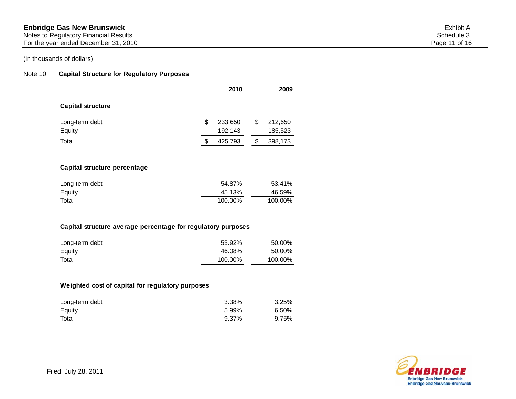For the year ended December 31, 2010 **Page 11 of 16** 

### (in thousands of dollars)

Total

#### Note 10 **Capital Structure for Regulatory Purposes**

|                              | 2010                     |     | 2009               |
|------------------------------|--------------------------|-----|--------------------|
| <b>Capital structure</b>     |                          |     |                    |
| Long-term debt<br>Equity     | \$<br>233,650<br>192,143 | \$  | 212,650<br>185,523 |
| Total                        | \$<br>425,793            | \$. | 398,173            |
| Capital structure percentage |                          |     |                    |
| Long-term debt<br>Equity     | 54.87%<br>45.13%         |     | 53.41%<br>46.59%   |

# **Capital structure average percentage for regulatory purposes**

| Long-term debt | 53.92%  | 50.00%  |
|----------------|---------|---------|
| Equity         | 46.08%  | 50.00%  |
| Total          | 100.00% | 100.00% |

100.00% 100.00%

#### **Weighted cost of capital for regulatory purposes**

| Long-term debt | 3.38% | 3.25% |
|----------------|-------|-------|
| Equity         | 5.99% | 6.50% |
| Total          | 9.37% | 9.75% |

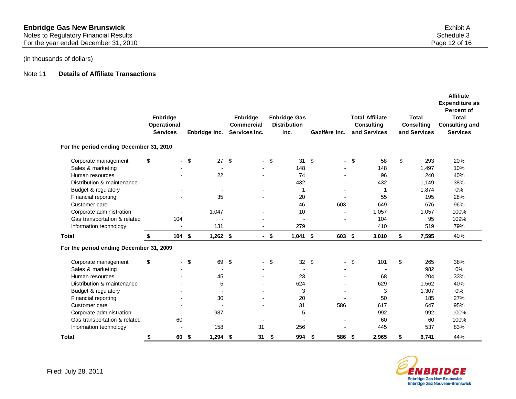### Note 11 **Details of Affiliate Transactions**

|                                         | Enbridge<br>Operational<br><b>Services</b> | Enbridge Inc.            | Enbridge<br>Commercial<br>Services Inc. |                          |      | <b>Enbridge Gas</b><br><b>Distribution</b><br>Inc. | Gazifère Inc.            |        | <b>Total Affiliate</b><br>Consulting<br>and Services | Total<br>Consulting<br>and Services | <b>Affiliate</b><br><b>Expenditure as</b><br><b>Percent of</b><br><b>Total</b><br><b>Consulting and</b><br><b>Services</b> |
|-----------------------------------------|--------------------------------------------|--------------------------|-----------------------------------------|--------------------------|------|----------------------------------------------------|--------------------------|--------|------------------------------------------------------|-------------------------------------|----------------------------------------------------------------------------------------------------------------------------|
| For the period ending December 31, 2010 |                                            |                          |                                         |                          |      |                                                    |                          |        |                                                      |                                     |                                                                                                                            |
| Corporate management                    | \$                                         | \$<br>27                 | -\$                                     |                          | \$   | 31                                                 | \$                       | \$     | 58                                                   | \$<br>293                           | 20%                                                                                                                        |
| Sales & marketing                       |                                            | $\blacksquare$           |                                         |                          |      | 148                                                |                          |        | 148                                                  | 1,497                               | 10%                                                                                                                        |
| Human resources                         |                                            | 22                       |                                         |                          |      | 74                                                 |                          |        | 96                                                   | 240                                 | 40%                                                                                                                        |
| Distribution & maintenance              |                                            | $\overline{a}$           |                                         |                          |      | 432                                                |                          |        | 432                                                  | 1,149                               | 38%                                                                                                                        |
| Budget & regulatory                     |                                            | $\overline{a}$           |                                         |                          |      |                                                    |                          |        |                                                      | 1,874                               | 0%                                                                                                                         |
| Financial reporting                     |                                            | 35                       |                                         |                          |      | 20                                                 | $\overline{\phantom{0}}$ |        | 55                                                   | 195                                 | 28%                                                                                                                        |
| Customer care                           |                                            | $\overline{\phantom{a}}$ |                                         |                          |      | 46                                                 | 603                      |        | 649                                                  | 676                                 | 96%                                                                                                                        |
| Corporate administration                |                                            | 1,047                    |                                         |                          |      | 10                                                 |                          |        | 1,057                                                | 1,057                               | 100%                                                                                                                       |
| Gas transportation & related            | 104                                        |                          |                                         |                          |      | $\overline{\phantom{a}}$                           |                          |        | 104                                                  | 95                                  | 109%                                                                                                                       |
| Information technology                  |                                            | 131                      |                                         |                          |      | 279                                                |                          |        | 410                                                  | 519                                 | 79%                                                                                                                        |
| <b>Total</b>                            | \$<br>104S                                 | $1,262$ \$               |                                         |                          | - \$ | $1,041$ \$                                         | 603 \$                   |        | 3,010                                                | \$<br>7,595                         | 40%                                                                                                                        |
| For the period ending December 31, 2009 |                                            |                          |                                         |                          |      |                                                    |                          |        |                                                      |                                     |                                                                                                                            |
| Corporate management                    | \$                                         | \$<br>69                 | \$                                      | $\overline{\phantom{0}}$ | \$   | 32                                                 | \$                       | $-$ \$ | 101                                                  | \$<br>265                           | 38%                                                                                                                        |
| Sales & marketing                       |                                            |                          |                                         |                          |      |                                                    |                          |        |                                                      | 982                                 | $0\%$                                                                                                                      |
| Human resources                         |                                            | 45                       |                                         |                          |      | 23                                                 |                          |        | 68                                                   | 204                                 | 33%                                                                                                                        |
| Distribution & maintenance              |                                            | 5                        |                                         |                          |      | 624                                                |                          |        | 629                                                  | 1,562                               | 40%                                                                                                                        |
| Budget & regulatory                     |                                            | $\blacksquare$           |                                         |                          |      | 3                                                  |                          |        | 3                                                    | 1,307                               | 0%                                                                                                                         |
| Financial reporting                     |                                            | 30                       |                                         |                          |      | 20                                                 |                          |        | 50                                                   | 185                                 | 27%                                                                                                                        |
| Customer care                           |                                            |                          |                                         |                          |      | 31                                                 | 586                      |        | 617                                                  | 647                                 | 95%                                                                                                                        |
| Corporate administration                |                                            | 987                      |                                         |                          |      | 5                                                  |                          |        | 992                                                  | 992                                 | 100%                                                                                                                       |
| Gas transportation & related            | 60                                         |                          |                                         |                          |      |                                                    |                          |        | 60                                                   | 60                                  | 100%                                                                                                                       |
| Information technology                  | $\blacksquare$                             | 158                      |                                         | 31                       |      | 256                                                |                          |        | 445                                                  | 537                                 | 83%                                                                                                                        |
| Total                                   | \$<br>60                                   | \$<br>$1,294$ \$         |                                         | $31 \quad$               |      | 994                                                | \$<br>586                | -\$    | 2,965                                                | \$<br>6,741                         | 44%                                                                                                                        |

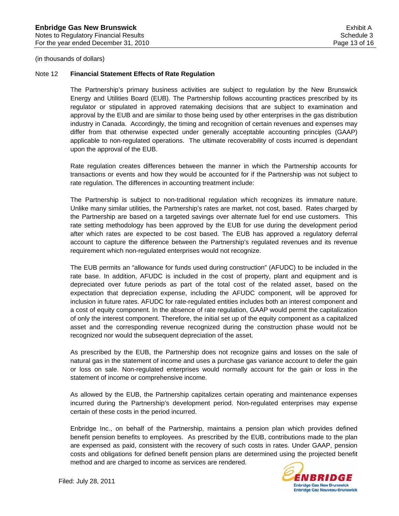#### Note 12 **Financial Statement Effects of Rate Regulation**

The Partnership's primary business activities are subject to regulation by the New Brunswick Energy and Utilities Board (EUB). The Partnership follows accounting practices prescribed by its regulator or stipulated in approved ratemaking decisions that are subject to examination and approval by the EUB and are similar to those being used by other enterprises in the gas distribution industry in Canada. Accordingly, the timing and recognition of certain revenues and expenses may differ from that otherwise expected under generally acceptable accounting principles (GAAP) applicable to non-regulated operations. The ultimate recoverability of costs incurred is dependant upon the approval of the EUB.

Rate regulation creates differences between the manner in which the Partnership accounts for transactions or events and how they would be accounted for if the Partnership was not subject to rate regulation. The differences in accounting treatment include:

The Partnership is subject to non-traditional regulation which recognizes its immature nature. Unlike many similar utilities, the Partnership's rates are market, not cost, based. Rates charged by the Partnership are based on a targeted savings over alternate fuel for end use customers. This rate setting methodology has been approved by the EUB for use during the development period after which rates are expected to be cost based. The EUB has approved a regulatory deferral account to capture the difference between the Partnership's regulated revenues and its revenue requirement which non-regulated enterprises would not recognize.

The EUB permits an "allowance for funds used during construction" (AFUDC) to be included in the rate base. In addition, AFUDC is included in the cost of property, plant and equipment and is depreciated over future periods as part of the total cost of the related asset, based on the expectation that depreciation expense, including the AFUDC component, will be approved for inclusion in future rates. AFUDC for rate-regulated entities includes both an interest component and a cost of equity component. In the absence of rate regulation, GAAP would permit the capitalization of only the interest component. Therefore, the initial set up of the equity component as a capitalized asset and the corresponding revenue recognized during the construction phase would not be recognized nor would the subsequent depreciation of the asset.

As prescribed by the EUB, the Partnership does not recognize gains and losses on the sale of natural gas in the statement of income and uses a purchase gas variance account to defer the gain or loss on sale. Non-regulated enterprises would normally account for the gain or loss in the statement of income or comprehensive income.

As allowed by the EUB, the Partnership capitalizes certain operating and maintenance expenses incurred during the Partnership's development period. Non-regulated enterprises may expense certain of these costs in the period incurred.

Enbridge Inc., on behalf of the Partnership, maintains a pension plan which provides defined benefit pension benefits to employees. As prescribed by the EUB, contributions made to the plan are expensed as paid, consistent with the recovery of such costs in rates. Under GAAP, pension costs and obligations for defined benefit pension plans are determined using the projected benefit method and are charged to income as services are rendered.

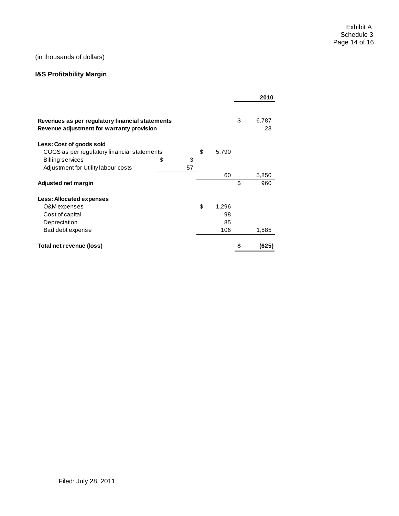# **I&S Profitability Margin**

|                                                                                              |         |             | 2010              |
|----------------------------------------------------------------------------------------------|---------|-------------|-------------------|
| Revenues as per regulatory financial statements<br>Revenue adjustment for warranty provision |         |             | \$<br>6,787<br>23 |
| Less: Cost of goods sold                                                                     |         |             |                   |
| COGS as per regulatory financial statements                                                  |         | \$<br>5,790 |                   |
| <b>Billing services</b>                                                                      | \$<br>3 |             |                   |
| Adjustment for Utility labour costs                                                          | 57      |             |                   |
|                                                                                              |         | 60          | 5,850             |
| Adjusted net margin                                                                          |         |             | \$<br>960         |
| Less: Allocated expenses                                                                     |         |             |                   |
| O&M expenses                                                                                 |         | \$<br>1,296 |                   |
| Cost of capital                                                                              |         | 98          |                   |
| Depreciation                                                                                 |         | 85          |                   |
| Bad debt expense                                                                             |         | 106         | 1,585             |
| Total net revenue (loss)                                                                     |         |             | (625)             |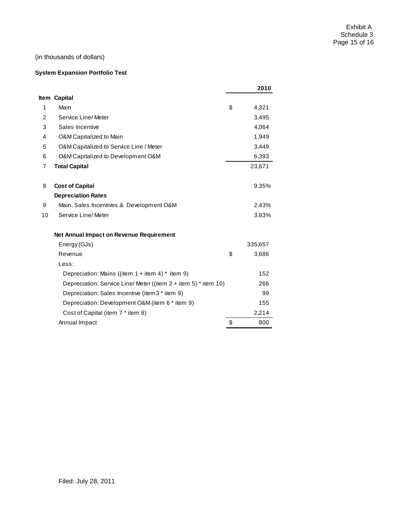#### **System Expansion Portfolio Test**

|                |                                                                  | 2010        |
|----------------|------------------------------------------------------------------|-------------|
|                | Item Capital                                                     |             |
| 1              | Main                                                             | \$<br>4,321 |
| $\overline{2}$ | Service Line/ Meter                                              | 3,495       |
| 3              | Sales Incentive                                                  | 4,064       |
| 4              | O&M Capitalized to Main                                          | 1,949       |
| 5              | O&M Capitalized to Service Line / Meter                          | 3,449       |
| 6              | O&M Capitalized to Development O&M                               | 6,393       |
| $\overline{7}$ | <b>Total Capital</b>                                             | 23,671      |
| 8              | <b>Cost of Capital</b>                                           | 9.35%       |
|                | <b>Depreciation Rates</b>                                        |             |
| 9              | Main, Sales Incentives & Development O&M                         | 2.43%       |
| 10             | Service Line/Meter                                               | 3.83%       |
|                | Net Annual Impact on Revenue Requirement                         |             |
|                | Energy (GJs)                                                     | 335,657     |
|                | Revenue                                                          | \$<br>3,686 |
|                | Less:                                                            |             |
|                | Depreciation: Mains ((item $1 +$ item $4$ ) * item 9)            | 152         |
|                | Depreciation: Service Line/Meter ((item $2 +$ item 5) * item 10) | 266         |
|                | Depreciation: Sales Incentive (item3 * item 9)                   | 99          |
|                | Depreciation: Development O&M (item 6 * item 9)                  | 155         |
|                | Cost of Capital (item 7 * item 8)                                | 2,214       |
|                | Annual Impact                                                    | \$<br>800   |